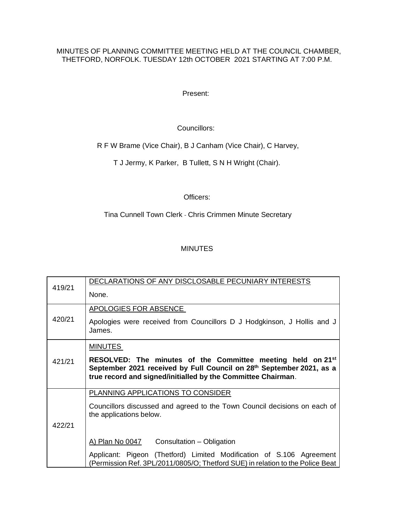## MINUTES OF PLANNING COMMITTEE MEETING HELD AT THE COUNCIL CHAMBER, THETFORD, NORFOLK. TUESDAY 12th OCTOBER 2021 STARTING AT 7:00 P.M.

Present:

Councillors:

R F W Brame (Vice Chair), B J Canham (Vice Chair), C Harvey,

T J Jermy, K Parker, B Tullett, S N H Wright (Chair).

## Officers:

Tina Cunnell Town Clerk - Chris Crimmen Minute Secretary

## MINUTES

| 419/21 | DECLARATIONS OF ANY DISCLOSABLE PECUNIARY INTERESTS                                                                                                                                                             |
|--------|-----------------------------------------------------------------------------------------------------------------------------------------------------------------------------------------------------------------|
|        | None.                                                                                                                                                                                                           |
|        | APOLOGIES FOR ABSENCE                                                                                                                                                                                           |
| 420/21 | Apologies were received from Councillors D J Hodgkinson, J Hollis and J<br>James.                                                                                                                               |
|        | <b>MINUTES</b>                                                                                                                                                                                                  |
| 421/21 | RESOLVED: The minutes of the Committee meeting held on 21 <sup>st</sup><br>September 2021 received by Full Council on 28th September 2021, as a<br>true record and signed/initialled by the Committee Chairman. |
|        | PLANNING APPLICATIONS TO CONSIDER                                                                                                                                                                               |
|        | Councillors discussed and agreed to the Town Council decisions on each of<br>the applications below.                                                                                                            |
| 422/21 |                                                                                                                                                                                                                 |
|        | A) Plan No $0047$ Consultation – Obligation                                                                                                                                                                     |
|        | Applicant: Pigeon (Thetford) Limited Modification of S.106 Agreement<br>(Permission Ref. 3PL/2011/0805/O; Thetford SUE) in relation to the Police Beat                                                          |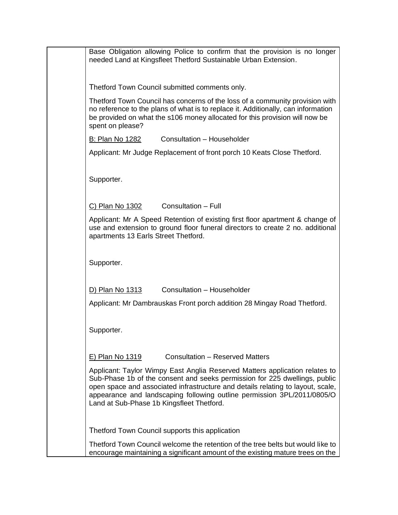| Base Obligation allowing Police to confirm that the provision is no longer<br>needed Land at Kingsfleet Thetford Sustainable Urban Extension.                                                                                                                                                                                                                        |
|----------------------------------------------------------------------------------------------------------------------------------------------------------------------------------------------------------------------------------------------------------------------------------------------------------------------------------------------------------------------|
| Thetford Town Council submitted comments only.                                                                                                                                                                                                                                                                                                                       |
| Thetford Town Council has concerns of the loss of a community provision with<br>no reference to the plans of what is to replace it. Additionally, can information<br>be provided on what the s106 money allocated for this provision will now be<br>spent on please?                                                                                                 |
| Consultation - Householder<br>B: Plan No 1282                                                                                                                                                                                                                                                                                                                        |
| Applicant: Mr Judge Replacement of front porch 10 Keats Close Thetford.                                                                                                                                                                                                                                                                                              |
| Supporter.                                                                                                                                                                                                                                                                                                                                                           |
| Consultation - Full<br>C) Plan No 1302                                                                                                                                                                                                                                                                                                                               |
| Applicant: Mr A Speed Retention of existing first floor apartment & change of<br>use and extension to ground floor funeral directors to create 2 no. additional<br>apartments 13 Earls Street Thetford.                                                                                                                                                              |
| Supporter.                                                                                                                                                                                                                                                                                                                                                           |
| Consultation - Householder<br>D) Plan No 1313                                                                                                                                                                                                                                                                                                                        |
| Applicant: Mr Dambrauskas Front porch addition 28 Mingay Road Thetford.                                                                                                                                                                                                                                                                                              |
| Supporter.                                                                                                                                                                                                                                                                                                                                                           |
| <b>Consultation - Reserved Matters</b><br>E) Plan No 1319                                                                                                                                                                                                                                                                                                            |
| Applicant: Taylor Wimpy East Anglia Reserved Matters application relates to<br>Sub-Phase 1b of the consent and seeks permission for 225 dwellings, public<br>open space and associated infrastructure and details relating to layout, scale,<br>appearance and landscaping following outline permission 3PL/2011/0805/O<br>Land at Sub-Phase 1b Kingsfleet Thetford. |
| Thetford Town Council supports this application                                                                                                                                                                                                                                                                                                                      |
| Thetford Town Council welcome the retention of the tree belts but would like to<br>encourage maintaining a significant amount of the existing mature trees on the                                                                                                                                                                                                    |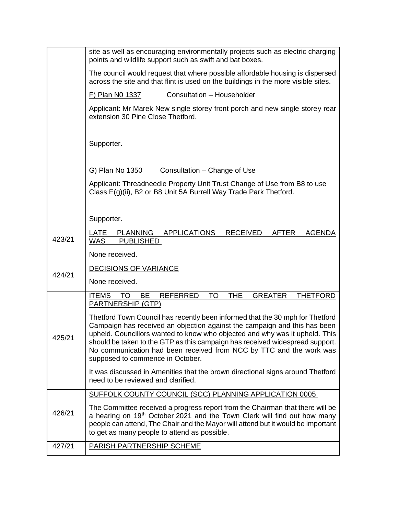|        | site as well as encouraging environmentally projects such as electric charging<br>points and wildlife support such as swift and bat boxes.                                                                                                                                                                                                                                                                                           |
|--------|--------------------------------------------------------------------------------------------------------------------------------------------------------------------------------------------------------------------------------------------------------------------------------------------------------------------------------------------------------------------------------------------------------------------------------------|
|        | The council would request that where possible affordable housing is dispersed<br>across the site and that flint is used on the buildings in the more visible sites.                                                                                                                                                                                                                                                                  |
|        | Consultation - Householder<br>F) Plan N0 1337                                                                                                                                                                                                                                                                                                                                                                                        |
|        | Applicant: Mr Marek New single storey front porch and new single storey rear<br>extension 30 Pine Close Thetford.                                                                                                                                                                                                                                                                                                                    |
|        | Supporter.                                                                                                                                                                                                                                                                                                                                                                                                                           |
|        | G) Plan No 1350<br>Consultation - Change of Use                                                                                                                                                                                                                                                                                                                                                                                      |
|        | Applicant: Threadneedle Property Unit Trust Change of Use from B8 to use<br>Class E(g)(ii), B2 or B8 Unit 5A Burrell Way Trade Park Thetford.                                                                                                                                                                                                                                                                                        |
|        | Supporter.                                                                                                                                                                                                                                                                                                                                                                                                                           |
| 423/21 | <b>APPLICATIONS</b><br><b>LATE</b><br><b>PLANNING</b><br><b>RECEIVED</b><br><b>AFTER</b><br><b>AGENDA</b><br><b>WAS</b><br><b>PUBLISHED</b>                                                                                                                                                                                                                                                                                          |
|        | None received.                                                                                                                                                                                                                                                                                                                                                                                                                       |
| 424/21 | <b>DECISIONS OF VARIANCE</b>                                                                                                                                                                                                                                                                                                                                                                                                         |
|        | None received.                                                                                                                                                                                                                                                                                                                                                                                                                       |
|        | <b>TO</b><br><b>THE</b><br><b>ITEMS</b><br><b>GREATER</b><br>BE<br><b>REFERRED</b><br><b>THETFORD</b><br>TO<br><b>PARTNERSHIP (GTP)</b>                                                                                                                                                                                                                                                                                              |
| 425/21 | Thetford Town Council has recently been informed that the 30 mph for Thetford<br>Campaign has received an objection against the campaign and this has been<br>upheld. Councillors wanted to know who objected and why was it upheld. This<br>should be taken to the GTP as this campaign has received widespread support.<br>No communication had been received from NCC by TTC and the work was<br>supposed to commence in October. |
|        | It was discussed in Amenities that the brown directional signs around Thetford<br>need to be reviewed and clarified.                                                                                                                                                                                                                                                                                                                 |
| 426/21 | SUFFOLK COUNTY COUNCIL (SCC) PLANNING APPLICATION 0005                                                                                                                                                                                                                                                                                                                                                                               |
|        | The Committee received a progress report from the Chairman that there will be<br>a hearing on 19 <sup>th</sup> October 2021 and the Town Clerk will find out how many<br>people can attend, The Chair and the Mayor will attend but it would be important<br>to get as many people to attend as possible.                                                                                                                            |
| 427/21 | <b>PARISH PARTNERSHIP SCHEME</b>                                                                                                                                                                                                                                                                                                                                                                                                     |
|        |                                                                                                                                                                                                                                                                                                                                                                                                                                      |